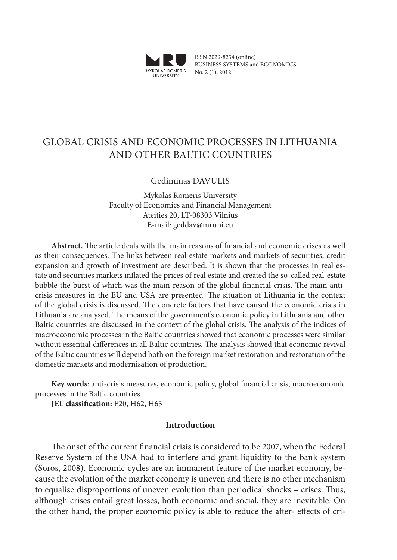

ISSN 2029-8234 (online) BUSINESS SYSTEMS and ECONOMICS No. 2 (1), 2012

# GLOBAL CRISIS AND ECONOMIC PROCESSES IN LITHUANIA AND OTHER BALTIC COUNTRIES

# Gediminas DAVULIS

Mykolas Romeris University Faculty of Economics and Financial Management Ateities 20, LT-08303 Vilnius E-mail: geddav@mruni.eu

**Abstract.** The article deals with the main reasons of financial and economic crises as well as their consequences. The links between real estate markets and markets of securities, credit expansion and growth of investment are described. It is shown that the processes in real estate and securities markets inflated the prices of real estate and created the so-called real-estate bubble the burst of which was the main reason of the global financial crisis. The main anticrisis measures in the EU and USA are presented. The situation of Lithuania in the context of the global crisis is discussed. The concrete factors that have caused the economic crisis in Lithuania are analysed. The means of the government's economic policy in Lithuania and other Baltic countries are discussed in the context of the global crisis. The analysis of the indices of macroeconomic processes in the Baltic countries showed that economic processes were similar without essential differences in all Baltic countries. The analysis showed that economic revival of the Baltic countries will depend both on the foreign market restoration and restoration of the domestic markets and modernisation of production.

**Key words**: anti-crisis measures, economic policy, global financial crisis, macroeconomic processes in the Baltic countries

**JEL classification:** E20, H62, H63

### **Introduction**

The onset of the current financial crisis is considered to be 2007, when the Federal Reserve System of the USA had to interfere and grant liquidity to the bank system (Soros, 2008). Economic cycles are an immanent feature of the market economy, because the evolution of the market economy is uneven and there is no other mechanism to equalise disproportions of uneven evolution than periodical shocks – crises. Thus, although crises entail great losses, both economic and social, they are inevitable. On the other hand, the proper economic policy is able to reduce the after- effects of cri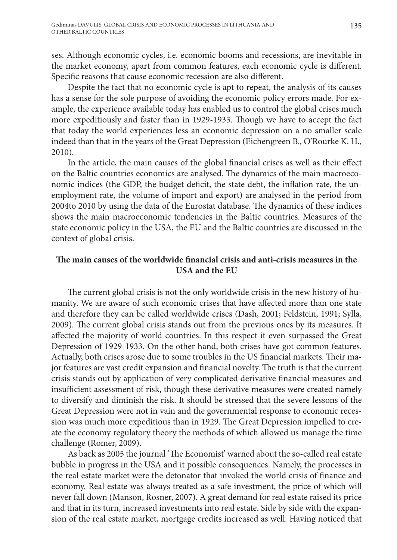ses. Although economic cycles, i.e. economic booms and recessions, are inevitable in the market economy, apart from common features, each economic cycle is different. Specific reasons that cause economic recession are also different.

Despite the fact that no economic cycle is apt to repeat, the analysis of its causes has a sense for the sole purpose of avoiding the economic policy errors made. For example, the experience available today has enabled us to control the global crises much more expeditiously and faster than in 1929-1933. Though we have to accept the fact that today the world experiences less an economic depression on a no smaller scale indeed than that in the years of the Great Depression (Eichengreen B., O'Rourke K. H., 2010).

In the article, the main causes of the global financial crises as well as their effect on the Baltic countries economics are analysed. The dynamics of the main macroeconomic indices (the GDP, the budget deficit, the state debt, the inflation rate, the unemployment rate, the volume of import and export) are analysed in the period from 2004to 2010 by using the data of the Eurostat database. The dynamics of these indices shows the main macroeconomic tendencies in the Baltic countries. Measures of the state economic policy in the USA, the EU and the Baltic countries are discussed in the context of global crisis.

# **The main causes of the worldwide financial crisis and anti-crisis measures in the USA and the EU**

The current global crisis is not the only worldwide crisis in the new history of humanity. We are aware of such economic crises that have affected more than one state and therefore they can be called worldwide crises (Dash, 2001; Feldstein, 1991; Sylla, 2009). The current global crisis stands out from the previous ones by its measures. It affected the majority of world countries. In this respect it even surpassed the Great Depression of 1929-1933. On the other hand, both crises have got common features. Actually, both crises arose due to some troubles in the US financial markets. Their major features are vast credit expansion and financial novelty. The truth is that the current crisis stands out by application of very complicated derivative financial measures and insufficient assessment of risk, though these derivative measures were created namely to diversify and diminish the risk. It should be stressed that the severe lessons of the Great Depression were not in vain and the governmental response to economic recession was much more expeditious than in 1929. The Great Depression impelled to create the economy regulatory theory the methods of which allowed us manage the time challenge (Romer, 2009).

As back as 2005 the journal 'The Economist' warned about the so-called real estate bubble in progress in the USA and it possible consequences. Namely, the processes in the real estate market were the detonator that invoked the world crisis of finance and economy. Real estate was always treated as a safe investment, the price of which will never fall down (Manson, Rosner, 2007). A great demand for real estate raised its price and that in its turn, increased investments into real estate. Side by side with the expansion of the real estate market, mortgage credits increased as well. Having noticed that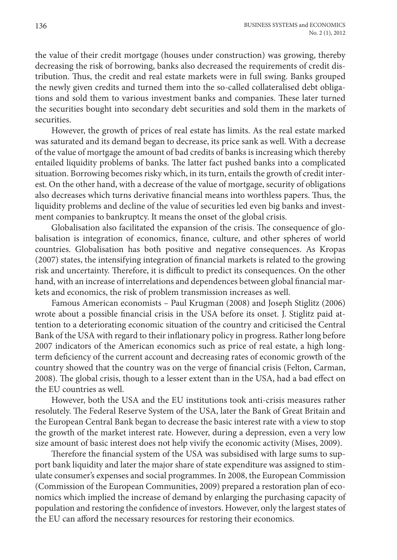the value of their credit mortgage (houses under construction) was growing, thereby decreasing the risk of borrowing, banks also decreased the requirements of credit distribution. Thus, the credit and real estate markets were in full swing. Banks grouped the newly given credits and turned them into the so-called collateralised debt obligations and sold them to various investment banks and companies. These later turned the securities bought into secondary debt securities and sold them in the markets of securities.

However, the growth of prices of real estate has limits. As the real estate marked was saturated and its demand began to decrease, its price sank as well. With a decrease of the value of mortgage the amount of bad credits of banks is increasing which thereby entailed liquidity problems of banks. The latter fact pushed banks into a complicated situation. Borrowing becomes risky which, in its turn, entails the growth of credit interest. On the other hand, with a decrease of the value of mortgage, security of obligations also decreases which turns derivative financial means into worthless papers. Thus, the liquidity problems and decline of the value of securities led even big banks and investment companies to bankruptcy. It means the onset of the global crisis.

Globalisation also facilitated the expansion of the crisis. The consequence of globalisation is integration of economics, finance, culture, and other spheres of world countries. Globalisation has both positive and negative consequences. As Kropas (2007) states, the intensifying integration of financial markets is related to the growing risk and uncertainty. Therefore, it is difficult to predict its consequences. On the other hand, with an increase of interrelations and dependences between global financial markets and economics, the risk of problem transmission increases as well.

Famous American economists – Paul Krugman (2008) and Joseph Stiglitz (2006) wrote about a possible financial crisis in the USA before its onset. J. Stiglitz paid attention to a deteriorating economic situation of the country and criticised the Central Bank of the USA with regard to their inflationary policy in progress. Rather long before 2007 indicators of the American economics such as price of real estate, a high longterm deficiency of the current account and decreasing rates of economic growth of the country showed that the country was on the verge of financial crisis (Felton, Carman, 2008). The global crisis, though to a lesser extent than in the USA, had a bad effect on the EU countries as well.

However, both the USA and the EU institutions took anti-crisis measures rather resolutely. The Federal Reserve System of the USA, later the Bank of Great Britain and the European Central Bank began to decrease the basic interest rate with a view to stop the growth of the market interest rate. However, during a depression, even a very low size amount of basic interest does not help vivify the economic activity (Mises, 2009).

Therefore the financial system of the USA was subsidised with large sums to support bank liquidity and later the major share of state expenditure was assigned to stimulate consumer's expenses and social programmes. In 2008, the European Commission (Commission of the European Communities, 2009) prepared a restoration plan of economics which implied the increase of demand by enlarging the purchasing capacity of population and restoring the confidence of investors. However, only the largest states of the EU can afford the necessary resources for restoring their economics.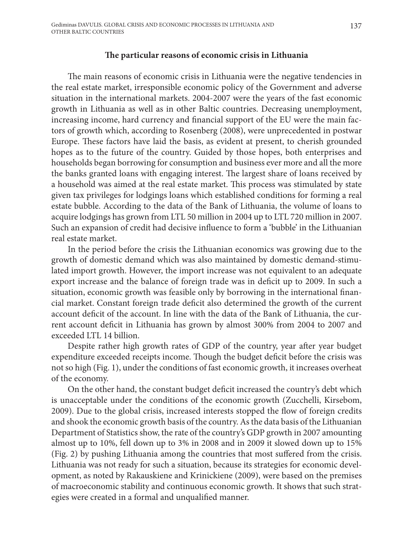#### **The particular reasons of economic crisis in Lithuania**

The main reasons of economic crisis in Lithuania were the negative tendencies in the real estate market, irresponsible economic policy of the Government and adverse situation in the international markets. 2004-2007 were the years of the fast economic growth in Lithuania as well as in other Baltic countries. Decreasing unemployment, increasing income, hard currency and financial support of the EU were the main factors of growth which, according to Rosenberg (2008), were unprecedented in postwar Europe. These factors have laid the basis, as evident at present, to cherish grounded hopes as to the future of the country. Guided by those hopes, both enterprises and households began borrowing for consumption and business ever more and all the more the banks granted loans with engaging interest. The largest share of loans received by a household was aimed at the real estate market. This process was stimulated by state given tax privileges for lodgings loans which established conditions for forming a real estate bubble. According to the data of the Bank of Lithuania, the volume of loans to acquire lodgings has grown from LTL 50 million in 2004 up to LTL 720 million in 2007. Such an expansion of credit had decisive influence to form a 'bubble' in the Lithuanian real estate market.

In the period before the crisis the Lithuanian economics was growing due to the growth of domestic demand which was also maintained by domestic demand-stimulated import growth. However, the import increase was not equivalent to an adequate export increase and the balance of foreign trade was in deficit up to 2009. In such a situation, economic growth was feasible only by borrowing in the international financial market. Constant foreign trade deficit also determined the growth of the current account deficit of the account. In line with the data of the Bank of Lithuania, the current account deficit in Lithuania has grown by almost 300% from 2004 to 2007 and exceeded LTL 14 billion.

Despite rather high growth rates of GDP of the country, year after year budget expenditure exceeded receipts income. Though the budget deficit before the crisis was not so high (Fig. 1), under the conditions of fast economic growth, it increases overheat of the economy.

On the other hand, the constant budget deficit increased the country's debt which is unacceptable under the conditions of the economic growth (Zucchelli, Kirsebom, 2009). Due to the global crisis, increased interests stopped the flow of foreign credits and shook the economic growth basis of the country. As the data basis of the Lithuanian Department of Statistics show, the rate of the country's GDP growth in 2007 amounting almost up to 10%, fell down up to 3% in 2008 and in 2009 it slowed down up to 15% (Fig. 2) by pushing Lithuania among the countries that most suffered from the crisis. Lithuania was not ready for such a situation, because its strategies for economic development, as noted by Rakauskiene and Krinickiene (2009), were based on the premises of macroeconomic stability and continuous economic growth. It shows that such strategies were created in a formal and unqualified manner.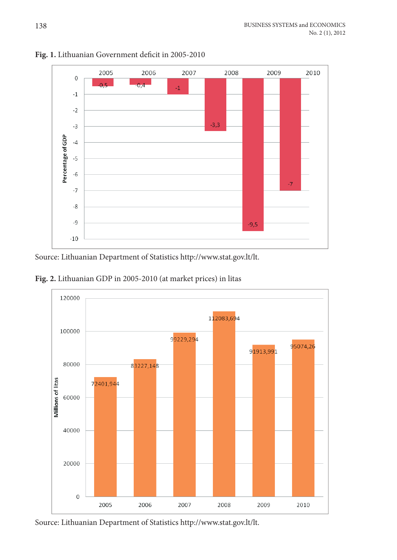

Fig. 1. Lithuanian Government deficit in 2005-2010

source: lithuanian Department of statistics http://www.stat.gov.lt/lt.

**Fig. 2.** lithuanian GDP in 2005-2010 (at market prices) in litas



source: lithuanian Department of statistics http://www.stat.gov.lt/lt.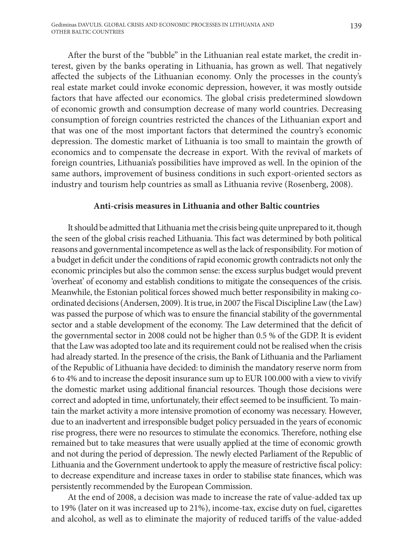After the burst of the "bubble" in the Lithuanian real estate market, the credit interest, given by the banks operating in Lithuania, has grown as well. That negatively affected the subjects of the Lithuanian economy. Only the processes in the county's real estate market could invoke economic depression, however, it was mostly outside factors that have affected our economics. The global crisis predetermined slowdown of economic growth and consumption decrease of many world countries. Decreasing consumption of foreign countries restricted the chances of the Lithuanian export and that was one of the most important factors that determined the country's economic depression. The domestic market of Lithuania is too small to maintain the growth of economics and to compensate the decrease in export. With the revival of markets of foreign countries, Lithuania's possibilities have improved as well. In the opinion of the same authors, improvement of business conditions in such export-oriented sectors as industry and tourism help countries as small as Lithuania revive (Rosenberg, 2008).

#### **Anti-crisis measures in Lithuania and other Baltic countries**

It should be admitted that Lithuania met the crisis being quite unprepared to it, though the seen of the global crisis reached Lithuania. This fact was determined by both political reasons and governmental incompetence as well as the lack of responsibility. For motion of a budget in deficit under the conditions of rapid economic growth contradicts not only the economic principles but also the common sense: the excess surplus budget would prevent 'overheat' of economy and establish conditions to mitigate the consequences of the crisis. Meanwhile, the Estonian political forces showed much better responsibility in making coordinated decisions (Andersen, 2009). It is true, in 2007 the Fiscal Discipline Law (the Law) was passed the purpose of which was to ensure the financial stability of the governmental sector and a stable development of the economy. The Law determined that the deficit of the governmental sector in 2008 could not be higher than 0.5 % of the GDP. It is evident that the Law was adopted too late and its requirement could not be realised when the crisis had already started. In the presence of the crisis, the Bank of Lithuania and the Parliament of the Republic of Lithuania have decided: to diminish the mandatory reserve norm from 6 to 4% and to increase the deposit insurance sum up to EUR 100.000 with a view to vivify the domestic market using additional financial resources. Though those decisions were correct and adopted in time, unfortunately, their effect seemed to be insufficient. To maintain the market activity a more intensive promotion of economy was necessary. However, due to an inadvertent and irresponsible budget policy persuaded in the years of economic rise progress, there were no resources to stimulate the economics. Therefore, nothing else remained but to take measures that were usually applied at the time of economic growth and not during the period of depression. The newly elected Parliament of the Republic of Lithuania and the Government undertook to apply the measure of restrictive fiscal policy: to decrease expenditure and increase taxes in order to stabilise state finances, which was persistently recommended by the European Commission.

At the end of 2008, a decision was made to increase the rate of value-added tax up to 19% (later on it was increased up to 21%), income-tax, excise duty on fuel, cigarettes and alcohol, as well as to eliminate the majority of reduced tariffs of the value-added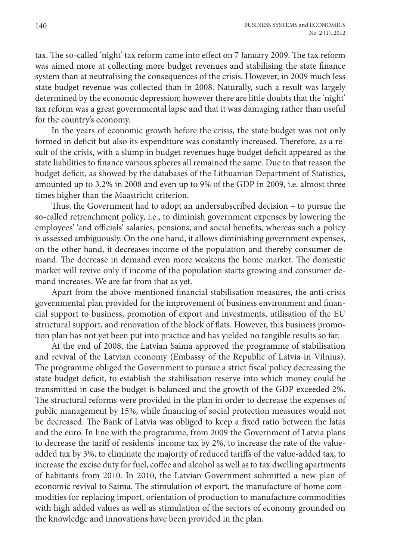tax. The so-called 'night' tax reform came into effect on 7 January 2009. The tax reform was aimed more at collecting more budget revenues and stabilising the state finance system than at neutralising the consequences of the crisis. However, in 2009 much less state budget revenue was collected than in 2008. Naturally, such a result was largely determined by the economic depression; however there are little doubts that the 'night' tax reform was a great governmental lapse and that it was damaging rather than useful for the country's economy.

In the years of economic growth before the crisis, the state budget was not only formed in deficit but also its expenditure was constantly increased. Therefore, as a result of the crisis, with a slump in budget revenues huge budget deficit appeared as the state liabilities to finance various spheres all remained the same. Due to that reason the budget deficit, as showed by the databases of the Lithuanian Department of Statistics, amounted up to 3.2% in 2008 and even up to 9% of the GDP in 2009, i.e. almost three times higher than the Maastricht criterion.

Thus, the Government had to adopt an undersubscribed decision – to pursue the so-called retrenchment policy, i.e., to diminish government expenses by lowering the employees' 'and officials' salaries, pensions, and social benefits, whereas such a policy is assessed ambiguously. On the one hand, it allows diminishing government expenses, on the other hand, it decreases income of the population and thereby consumer demand. The decrease in demand even more weakens the home market. The domestic market will revive only if income of the population starts growing and consumer demand increases. We are far from that as yet.

Apart from the above-mentioned financial stabilisation measures, the anti-crisis governmental plan provided for the improvement of business environment and financial support to business, promotion of export and investments, utilisation of the EU structural support, and renovation of the block of flats. However, this business promotion plan has not yet been put into practice and has yielded no tangible results so far.

At the end of 2008, the Latvian Saima approved the programme of stabilisation and revival of the Latvian economy (Embassy of the Republic of Latvia in Vilnius). The programme obliged the Government to pursue a strict fiscal policy decreasing the state budget deficit, to establish the stabilisation reserve into which money could be transmitted in case the budget is balanced and the growth of the GDP exceeded 2%. The structural reforms were provided in the plan in order to decrease the expenses of public management by 15%, while financing of social protection measures would not be decreased. The Bank of Latvia was obliged to keep a fixed ratio between the latas and the euro. In line with the programme, from 2009 the Government of Latvia plans to decrease the tariff of residents' income tax by 2%, to increase the rate of the valueadded tax by 3%, to eliminate the majority of reduced tariffs of the value-added tax, to increase the excise duty for fuel, coffee and alcohol as well as to tax dwelling apartments of habitants from 2010. In 2010, the Latvian Government submitted a new plan of economic revival to Saima. The stimulation of export, the manufacture of home commodities for replacing import, orientation of production to manufacture commodities with high added values as well as stimulation of the sectors of economy grounded on the knowledge and innovations have been provided in the plan.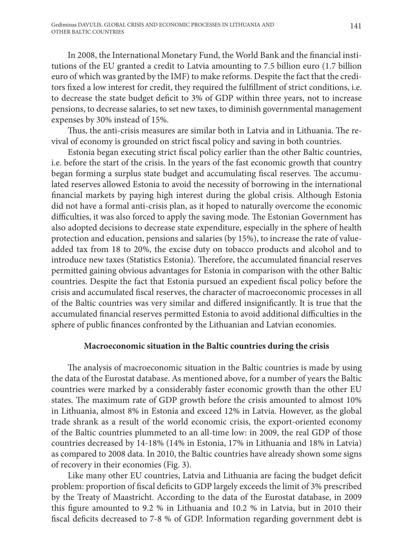In 2008, the International Monetary Fund, the World Bank and the financial institutions of the EU granted a credit to Latvia amounting to 7.5 billion euro (1.7 billion euro of which was granted by the IMF) to make reforms. Despite the fact that the creditors fixed a low interest for credit, they required the fulfillment of strict conditions, i.e. to decrease the state budget deficit to 3% of GDP within three years, not to increase pensions, to decrease salaries, to set new taxes, to diminish governmental management expenses by 30% instead of 15%.

Thus, the anti-crisis measures are similar both in Latvia and in Lithuania. The revival of economy is grounded on strict fiscal policy and saving in both countries.

Estonia began executing strict fiscal policy earlier than the other Baltic countries, i.e. before the start of the crisis. In the years of the fast economic growth that country began forming a surplus state budget and accumulating fiscal reserves. The accumulated reserves allowed Estonia to avoid the necessity of borrowing in the international financial markets by paying high interest during the global crisis. Although Estonia did not have a formal anti-crisis plan, as it hoped to naturally overcome the economic difficulties, it was also forced to apply the saving mode. The Estonian Government has also adopted decisions to decrease state expenditure, especially in the sphere of health protection and education, pensions and salaries (by 15%), to increase the rate of valueadded tax from 18 to 20%, the excise duty on tobacco products and alcohol and to introduce new taxes (Statistics Estonia). Therefore, the accumulated financial reserves permitted gaining obvious advantages for Estonia in comparison with the other Baltic countries. Despite the fact that Estonia pursued an expedient fiscal policy before the crisis and accumulated fiscal reserves, the character of macroeconomic processes in all of the Baltic countries was very similar and differed insignificantly. It is true that the accumulated financial reserves permitted Estonia to avoid additional difficulties in the sphere of public finances confronted by the Lithuanian and Latvian economies.

#### **Macroeconomic situation in the Baltic countries during the crisis**

The analysis of macroeconomic situation in the Baltic countries is made by using the data of the Eurostat database. As mentioned above, for a number of years the Baltic countries were marked by a considerably faster economic growth than the other EU states. The maximum rate of GDP growth before the crisis amounted to almost 10% in Lithuania, almost 8% in Estonia and exceed 12% in Latvia. However, as the global trade shrank as a result of the world economic crisis, the export-oriented economy of the Baltic countries plummeted to an all-time low: in 2009, the real GDP of those countries decreased by 14-18% (14% in Estonia, 17% in Lithuania and 18% in Latvia) as compared to 2008 data. In 2010, the Baltic countries have already shown some signs of recovery in their economies (Fig. 3).

Like many other EU countries, Latvia and Lithuania are facing the budget deficit problem: proportion of fiscal deficits to GDP largely exceeds the limit of 3% prescribed by the Treaty of Maastricht. According to the data of the Eurostat database, in 2009 this figure amounted to 9.2 % in Lithuania and 10.2 % in Latvia, but in 2010 their fiscal deficits decreased to 7-8 % of GDP. Information regarding government debt is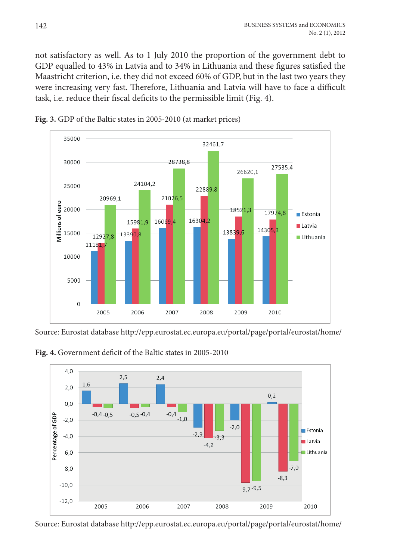not satisfactory as well. as to 1 July 2010 the proportion of the government debt to GDP equalled to 43% in Latvia and to 34% in Lithuania and these figures satisfied the maastricht criterion, i.e. they did not exceed 60% of GDP, but in the last two years they were increasing very fast. Therefore, Lithuania and Latvia will have to face a difficult task, i.e. reduce their fiscal deficits to the permissible limit (Fig. 4).





Source: Eurostat database http://epp.eurostat.ec.europa.eu/portal/page/portal/eurostat/home/

Fig. 4. Government deficit of the Baltic states in 2005-2010



Source: Eurostat database http://epp.eurostat.ec.europa.eu/portal/page/portal/eurostat/home/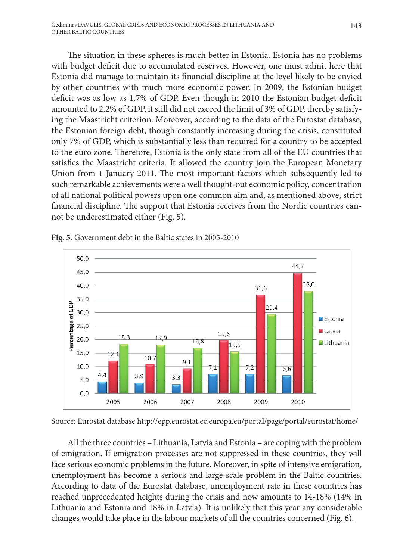The situation in these spheres is much better in Estonia. Estonia has no problems with budget deficit due to accumulated reserves. However, one must admit here that Estonia did manage to maintain its financial discipline at the level likely to be envied by other countries with much more economic power. In 2009, the Estonian budget deficit was as low as 1.7% of GDP. Even though in 2010 the Estonian budget deficit amounted to 2.2% of GDP, it still did not exceed the limit of 3% of GDP, thereby satisfying the Maastricht criterion. Moreover, according to the data of the Eurostat database, the Estonian foreign debt, though constantly increasing during the crisis, constituted only 7% of GDP, which is substantially less than required for a country to be accepted to the euro zone. Therefore, Estonia is the only state from all of the EU countries that satisfies the Maastricht criteria. It allowed the country join the European Monetary Union from 1 January 2011. The most important factors which subsequently led to such remarkable achievements were a well thought-out economic policy, concentration of all national political powers upon one common aim and, as mentioned above, strict financial discipline. The support that Estonia receives from the Nordic countries cannot be underestimated either (Fig. 5).



**Fig. 5.** Government debt in the Baltic states in 2005-2010

Source: Eurostat database http://epp.eurostat.ec.europa.eu/portal/page/portal/eurostat/home/

All the three countries – Lithuania, Latvia and Estonia – are coping with the problem of emigration. if emigration processes are not suppressed in these countries, they will face serious economic problems in the future. Moreover, in spite of intensive emigration, unemployment has become a serious and large-scale problem in the Baltic countries. According to data of the Eurostat database, unemployment rate in these countries has reached unprecedented heights during the crisis and now amounts to 14-18% (14% in Lithuania and Estonia and 18% in Latvia). It is unlikely that this year any considerable changes would take place in the labour markets of all the countries concerned (Fig. 6).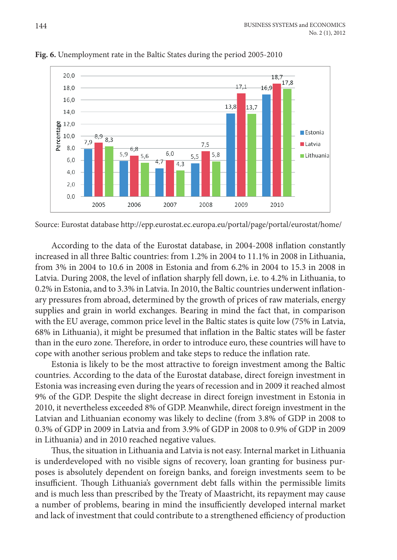

Fig. 6. Unemployment rate in the Baltic States during the period 2005-2010

According to the data of the Eurostat database, in 2004-2008 inflation constantly increased in all three Baltic countries: from 1.2% in 2004 to 11.1% in 2008 in lithuania, from 3% in 2004 to 10.6 in 2008 in estonia and from 6.2% in 2004 to 15.3 in 2008 in Latvia. During 2008, the level of inflation sharply fell down, i.e. to 4.2% in Lithuania, to  $0.2\%$  in Estonia, and to 3.3% in Latvia. In 2010, the Baltic countries underwent inflationary pressures from abroad, determined by the growth of prices of raw materials, energy supplies and grain in world exchanges. Bearing in mind the fact that, in comparison with the eU average, common price level in the Baltic states is quite low (75% in latvia, 68% in Lithuania), it might be presumed that inflation in the Baltic states will be faster than in the euro zone. Therefore, in order to introduce euro, these countries will have to cope with another serious problem and take steps to reduce the inflation rate.

Estonia is likely to be the most attractive to foreign investment among the Baltic countries. according to the data of the eurostat database, direct foreign investment in Estonia was increasing even during the years of recession and in 2009 it reached almost 9% of the GDP. Despite the slight decrease in direct foreign investment in Estonia in 2010, it nevertheless exceeded 8% of GDP. meanwhile, direct foreign investment in the latvian and lithuanian economy was likely to decline (from 3.8% of GDP in 2008 to 0.3% of GDP in 2009 in latvia and from 3.9% of GDP in 2008 to 0.9% of GDP in 2009 in lithuania) and in 2010 reached negative values.

Thus, the situation in Lithuania and Latvia is not easy. Internal market in Lithuania is underdeveloped with no visible signs of recovery, loan granting for business purposes is absolutely dependent on foreign banks, and foreign investments seem to be insufficient. Though Lithuania's government debt falls within the permissible limits and is much less than prescribed by the Treaty of Maastricht, its repayment may cause a number of problems, bearing in mind the insufficiently developed internal market and lack of investment that could contribute to a strengthened efficiency of production

Source: Eurostat database http://epp.eurostat.ec.europa.eu/portal/page/portal/eurostat/home/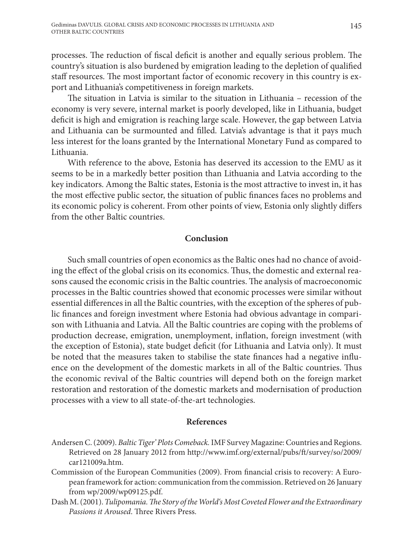processes. The reduction of fiscal deficit is another and equally serious problem. The country's situation is also burdened by emigration leading to the depletion of qualified staff resources. The most important factor of economic recovery in this country is export and Lithuania's competitiveness in foreign markets.

The situation in Latvia is similar to the situation in Lithuania – recession of the economy is very severe, internal market is poorly developed, like in Lithuania, budget deficit is high and emigration is reaching large scale. However, the gap between Latvia and Lithuania can be surmounted and filled. Latvia's advantage is that it pays much less interest for the loans granted by the International Monetary Fund as compared to Lithuania.

With reference to the above, Estonia has deserved its accession to the EMU as it seems to be in a markedly better position than Lithuania and Latvia according to the key indicators. Among the Baltic states, Estonia is the most attractive to invest in, it has the most effective public sector, the situation of public finances faces no problems and its economic policy is coherent. From other points of view, Estonia only slightly differs from the other Baltic countries.

## **Conclusion**

Such small countries of open economics as the Baltic ones had no chance of avoiding the effect of the global crisis on its economics. Thus, the domestic and external reasons caused the economic crisis in the Baltic countries. The analysis of macroeconomic processes in the Baltic countries showed that economic processes were similar without essential differences in all the Baltic countries, with the exception of the spheres of public finances and foreign investment where Estonia had obvious advantage in comparison with Lithuania and Latvia. All the Baltic countries are coping with the problems of production decrease, emigration, unemployment, inflation, foreign investment (with the exception of Estonia), state budget deficit (for Lithuania and Latvia only). It must be noted that the measures taken to stabilise the state finances had a negative influence on the development of the domestic markets in all of the Baltic countries. Thus the economic revival of the Baltic countries will depend both on the foreign market restoration and restoration of the domestic markets and modernisation of production processes with a view to all state-of-the-art technologies.

## **References**

- Andersen C. (2009). *Baltic Tiger' Plots Comeback.*IMF Survey Magazine: Countries and Regions. Retrieved on 28 January 2012 from http://www.imf.org/external/pubs/ft/survey/so/2009/ car121009a.htm.
- Commission of the European Communities (2009). From financial crisis to recovery: A European framework for action: communication from the commission. Retrieved on 26 January from wp/2009/wp09125.pdf.
- Dash M. (2001). *Tulipomania. The Story of the World's Most Coveted Flower and the Extraordinary Passions it Aroused*. Three Rivers Press.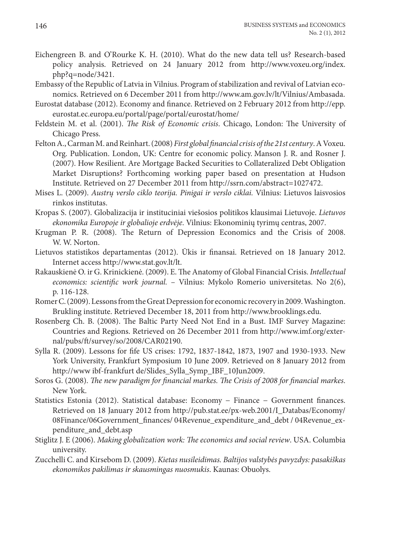- Eichengreen B. and O'Rourke K. H. (2010). What do the new data tell us? Research-based policy analysis. Retrieved on 24 January 2012 from http://www.voxeu.org/index. php?q=node/3421.
- Embassy of the Republic of Latvia in Vilnius. Program of stabilization and revival of Latvian economics. Retrieved on 6 December 2011 from http://www.am.gov.lv/lt/Vilnius/Ambasada.
- Eurostat database (2012). Economy and finance. Retrieved on 2 February 2012 from http://epp. eurostat.ec.europa.eu/portal/page/portal/eurostat/home/
- Feldstein M. et al. (2001). *The Risk of Economic crisis*. Chicago, London: The University of Chicago Press.
- Felton A., Carman M. and Reinhart. (2008) *First global financial crisis of the 21st century*. A Voxeu. Org. Publication. London, UK: Centre for economic policy. Manson J. R. and Rosner J. (2007). How Resilient. Are Mortgage Backed Securities to Collateralized Debt Obligation Market Disruptions? Forthcoming working paper based on presentation at Hudson Institute. Retrieved on 27 December 2011 from http://ssrn.com/abstract=1027472.
- Mises L. (2009). *Austrų verslo ciklo teorija. Pinigai ir verslo ciklai.* Vilnius: Lietuvos laisvosios rinkos institutas.
- Kropas S. (2007). Globalizacija ir instituciniai viešosios politikos klausimai Lietuvoje. *Lietuvos ekonomika Europoje ir globalioje erdvėje*. Vilnius: Ekonominių tyrimų centras, 2007.
- Krugman P. R. (2008). The Return of Depression Economics and the Crisis of 2008. W. W. Norton.
- Lietuvos statistikos departamentas (2012). Ūkis ir finansai. Retrieved on 18 January 2012. Internet access http://www.stat.gov.lt/lt.
- Rakauskienė O. ir G. Krinickienė. (2009). E. The Anatomy of Global Financial Crisis. *Intellectual economics: scientific work journal.* – Vilnius: Mykolo Romerio universitetas. No 2(6), p. 116-128.
- Romer C. (2009). Lessons from the Great Depression for economic recovery in 2009. Washington. Brukling institute. Retrieved December 18, 2011 from http://www.brooklings.edu.
- Rosenberg Ch. B. (2008). The Baltic Party Need Not End in a Bust. IMF Survey Magazine: Countries and Regions. Retrieved on 26 December 2011 from http://www.imf.org/external/pubs/ft/survey/so/2008/CAR02190.
- Sylla R. (2009). Lessons for fife US crises: 1792, 1837-1842, 1873, 1907 and 1930-1933. New York University, Frankfurt Symposium 10 June 2009. Retrieved on 8 January 2012 from http://www ibf-frankfurt de/Slides\_Sylla\_Symp\_IBF\_10Jun2009.
- Soros G. (2008). *The new paradigm for financial markes. The Crisis of 2008 for financial markes*. New York.
- Statistics Estonia (2012). Statistical database: Economy − Finance − Government finances. Retrieved on 18 January 2012 from http://pub.stat.ee/px-web.2001/I\_Databas/Economy/ 08Finance/06Government\_finances/ 04Revenue\_expenditure\_and\_debt / 04Revenue\_expenditure\_and\_debt.asp
- Stiglitz J. E (2006). *Making globalization work: The economics and social review*. USA. Columbia university.
- Zucchelli C. and Kirsebom D. (2009). *Kietas nusileidimas. Baltijos valstybės pavyzdys: pasakiškas ekonomikos pakilimas ir skausmingas nuosmukis*. Kaunas: Obuolys.